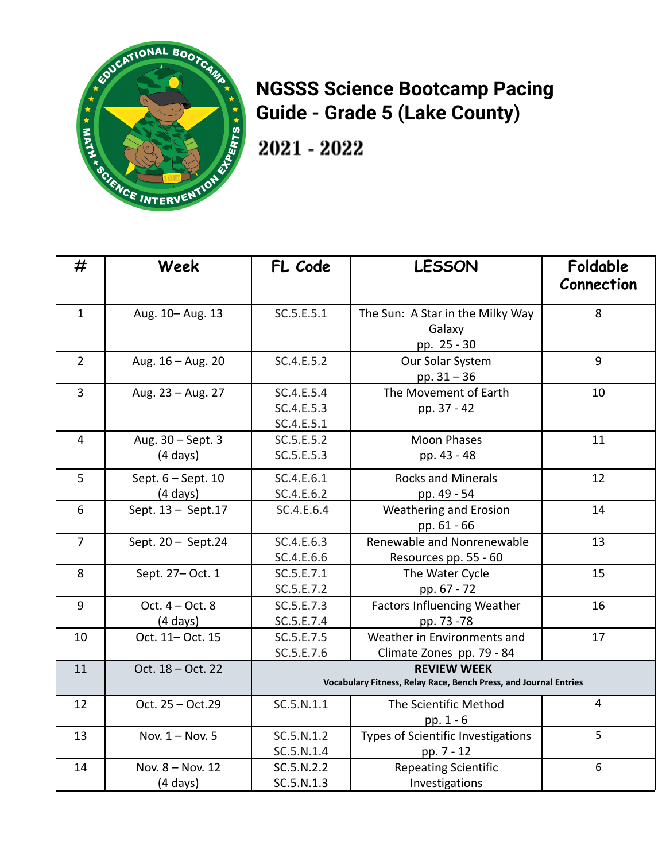

## **NGSSS Science Bootcamp Pacing Guide - Grade 5 (Lake County)**

 $2021 - 2022$ 

| #              | Week                                       | FL Code                                                                                | <b>LESSON</b>                                             | Foldable<br>Connection |
|----------------|--------------------------------------------|----------------------------------------------------------------------------------------|-----------------------------------------------------------|------------------------|
| $\mathbf{1}$   | Aug. 10-Aug. 13                            | SC.5.E.5.1                                                                             | The Sun: A Star in the Milky Way<br>Galaxy<br>pp. 25 - 30 | 8                      |
| $\overline{2}$ | Aug. 16 - Aug. 20                          | SC.4.E.5.2                                                                             | Our Solar System<br>pp. $31 - 36$                         | 9                      |
| 3              | Aug. 23 - Aug. 27                          | SC.4.E.5.4<br>SC.4.E.5.3<br>SC.4.E.5.1                                                 | The Movement of Earth<br>pp. 37 - 42                      | 10                     |
| $\overline{4}$ | Aug. 30 - Sept. 3<br>$(4 \text{ days})$    | SC.5.E.5.2<br>SC.5.E.5.3                                                               | <b>Moon Phases</b><br>pp. 43 - 48                         | 11                     |
| 5              | Sept. $6 - Sept. 10$<br>$(4 \text{ days})$ | SC.4.E.6.1<br>SC.4.E.6.2                                                               | <b>Rocks and Minerals</b><br>pp. 49 - 54                  | 12                     |
| 6              | Sept. 13 - Sept. 17                        | SC.4.E.6.4                                                                             | Weathering and Erosion<br>pp. 61 - 66                     | 14                     |
| $\overline{7}$ | Sept. 20 - Sept.24                         | SC.4.E.6.3<br>SC.4.E.6.6                                                               | Renewable and Nonrenewable<br>Resources pp. 55 - 60       | 13                     |
| 8              | Sept. 27- Oct. 1                           | SC.5.E.7.1<br>SC.5.E.7.2                                                               | The Water Cycle<br>pp. 67 - 72                            | 15                     |
| 9              | Oct. $4 - Oct. 8$<br>$(4 \text{ days})$    | SC.5.E.7.3<br>SC.5.E.7.4                                                               | <b>Factors Influencing Weather</b><br>pp. 73 -78          | 16                     |
| 10             | Oct. 11- Oct. 15                           | SC.5.E.7.5<br>SC.5.E.7.6                                                               | Weather in Environments and<br>Climate Zones pp. 79 - 84  | 17                     |
| 11             | Oct. 18 - Oct. 22                          | <b>REVIEW WEEK</b><br>Vocabulary Fitness, Relay Race, Bench Press, and Journal Entries |                                                           |                        |
| 12             | Oct. 25 - Oct.29                           | SC.5.N.1.1                                                                             | The Scientific Method<br>pp. $1 - 6$                      | 4                      |
| 13             | Nov. 1 - Nov. 5                            | SC.5.N.1.2<br>SC.5.N.1.4                                                               | Types of Scientific Investigations<br>pp. 7 - 12          | 5                      |
| 14             | Nov. 8 - Nov. 12<br>$(4 \text{ days})$     | SC.5.N.2.2<br>SC.5.N.1.3                                                               | <b>Repeating Scientific</b><br>Investigations             | 6                      |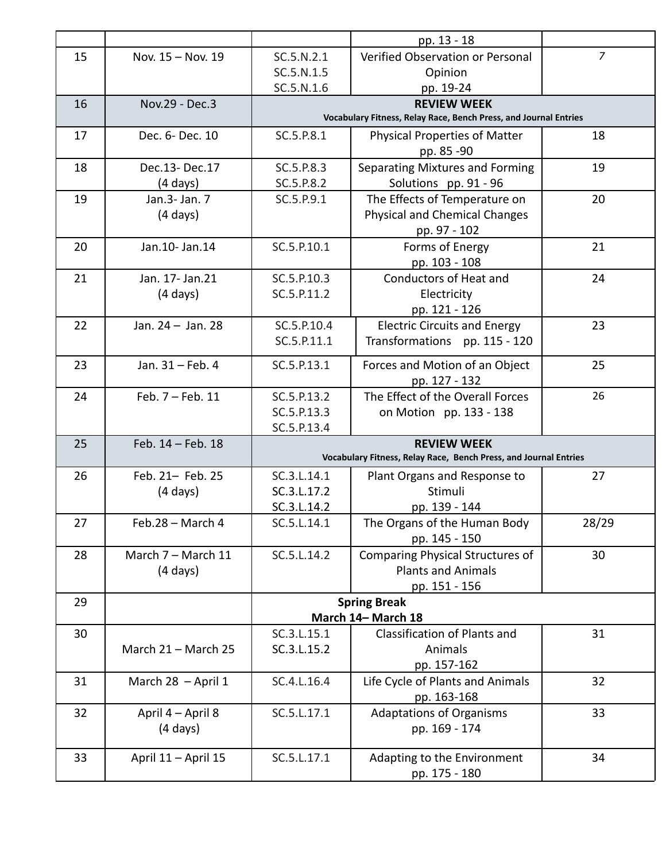|    |                     |                                                                                        | pp. 13 - 18                                          |                |  |  |
|----|---------------------|----------------------------------------------------------------------------------------|------------------------------------------------------|----------------|--|--|
| 15 | Nov. 15 - Nov. 19   | SC.5.N.2.1                                                                             | Verified Observation or Personal                     | $\overline{z}$ |  |  |
|    |                     | SC.5.N.1.5                                                                             | Opinion                                              |                |  |  |
|    |                     | SC.5.N.1.6                                                                             | pp. 19-24                                            |                |  |  |
| 16 | Nov.29 - Dec.3      | <b>REVIEW WEEK</b>                                                                     |                                                      |                |  |  |
|    |                     | Vocabulary Fitness, Relay Race, Bench Press, and Journal Entries                       |                                                      |                |  |  |
| 17 | Dec. 6- Dec. 10     | SC.5.P.8.1                                                                             | <b>Physical Properties of Matter</b>                 | 18             |  |  |
|    |                     |                                                                                        | pp. 85 -90                                           |                |  |  |
| 18 | Dec.13-Dec.17       | SC.5.P.8.3                                                                             | Separating Mixtures and Forming                      | 19             |  |  |
|    | $(4 \text{ days})$  | SC.5.P.8.2                                                                             | Solutions pp. 91 - 96                                |                |  |  |
| 19 | Jan.3- Jan. 7       | SC.5.P.9.1                                                                             | The Effects of Temperature on                        | 20             |  |  |
|    | $(4 \text{ days})$  |                                                                                        | <b>Physical and Chemical Changes</b>                 |                |  |  |
|    |                     |                                                                                        | pp. 97 - 102                                         |                |  |  |
| 20 | Jan.10- Jan.14      | SC.5.P.10.1                                                                            | Forms of Energy                                      | 21             |  |  |
|    |                     |                                                                                        | pp. 103 - 108                                        |                |  |  |
| 21 | Jan. 17- Jan. 21    | SC.5.P.10.3                                                                            | Conductors of Heat and                               | 24             |  |  |
|    | $(4 \text{ days})$  | SC.5.P.11.2                                                                            | Electricity                                          |                |  |  |
| 22 | Jan. 24 - Jan. 28   | SC.5.P.10.4                                                                            | pp. 121 - 126<br><b>Electric Circuits and Energy</b> | 23             |  |  |
|    |                     | SC.5.P.11.1                                                                            | Transformations pp. 115 - 120                        |                |  |  |
|    |                     |                                                                                        |                                                      |                |  |  |
| 23 | Jan. 31 - Feb. 4    | SC.5.P.13.1                                                                            | Forces and Motion of an Object                       | 25             |  |  |
|    |                     |                                                                                        | pp. 127 - 132                                        |                |  |  |
| 24 | Feb. 7 - Feb. 11    | SC.5.P.13.2                                                                            | The Effect of the Overall Forces                     | 26             |  |  |
|    |                     | SC.5.P.13.3                                                                            | on Motion pp. 133 - 138                              |                |  |  |
|    |                     | SC.5.P.13.4                                                                            |                                                      |                |  |  |
| 25 | Feb. 14 - Feb. 18   | <b>REVIEW WEEK</b><br>Vocabulary Fitness, Relay Race, Bench Press, and Journal Entries |                                                      |                |  |  |
| 26 | Feb. 21- Feb. 25    | SC.3.L.14.1                                                                            | Plant Organs and Response to                         | 27             |  |  |
|    | $(4 \text{ days})$  | SC.3.L.17.2                                                                            | Stimuli                                              |                |  |  |
|    |                     | SC.3.L.14.2                                                                            | pp. 139 - 144                                        |                |  |  |
| 27 | Feb.28 - March 4    | SC.5.L.14.1                                                                            | The Organs of the Human Body                         | 28/29          |  |  |
|    |                     |                                                                                        | pp. 145 - 150                                        |                |  |  |
| 28 | March 7 - March 11  | SC.5.L.14.2                                                                            | Comparing Physical Structures of                     | 30             |  |  |
|    | $(4 \text{ days})$  |                                                                                        | <b>Plants and Animals</b>                            |                |  |  |
|    |                     |                                                                                        | pp. 151 - 156                                        |                |  |  |
| 29 |                     | <b>Spring Break</b>                                                                    |                                                      |                |  |  |
|    | March 14- March 18  |                                                                                        |                                                      |                |  |  |
| 30 |                     | SC.3.L.15.1                                                                            | Classification of Plants and                         | 31             |  |  |
|    | March 21 - March 25 | SC.3.L.15.2                                                                            | Animals                                              |                |  |  |
|    |                     |                                                                                        | pp. 157-162                                          |                |  |  |
| 31 | March 28 - April 1  | SC.4.L.16.4                                                                            | Life Cycle of Plants and Animals                     | 32             |  |  |
|    |                     |                                                                                        | pp. 163-168                                          |                |  |  |
| 32 | April 4 - April 8   | SC.5.L.17.1                                                                            | <b>Adaptations of Organisms</b>                      | 33             |  |  |
|    | $(4 \text{ days})$  |                                                                                        | pp. 169 - 174                                        |                |  |  |
| 33 | April 11 - April 15 | SC.5.L.17.1                                                                            | Adapting to the Environment                          | 34             |  |  |
|    |                     |                                                                                        | pp. 175 - 180                                        |                |  |  |
|    |                     |                                                                                        |                                                      |                |  |  |